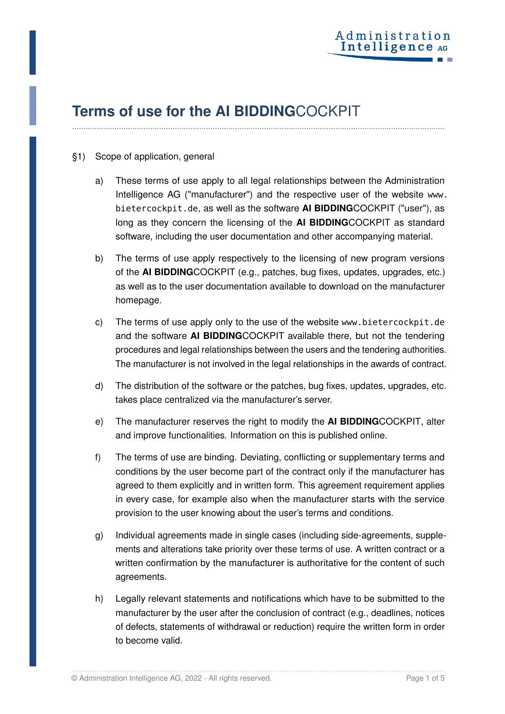

## **Terms of use for the AI BIDDING**COCKPIT

## §1) Scope of application, general

a) These terms of use apply to all legal relationships between the Administration Intelligence AG ("manufacturer") and the respective user of the website [www.](www.bietercockpit.de) [bietercockpit.de](www.bietercockpit.de), as well as the software **AI BIDDING**COCKPIT ("user"), as long as they concern the licensing of the **AI BIDDING**COCKPIT as standard software, including the user documentation and other accompanying material.

**. . . . . . . . . . . . . . . . . . . . . . . . . . . . . . . . . . . . . . . . . . . . . . . . . . . . . . . . . . . . . . . . . . . . . . . . . . . . . . . . . . . . . . . . . . . . . . . . . . . . . . . . . . . . . . . . . . . . . . . . . . . . . . . . . . . . . . . . . . . . . . . . . . . . . . . . . . . . . . . . . . . . . . .**

- b) The terms of use apply respectively to the licensing of new program versions of the **AI BIDDING**COCKPIT (e.g., patches, bug fixes, updates, upgrades, etc.) as well as to the user documentation available to download on the manufacturer homepage.
- c) The terms of use apply only to the use of the website <www.bietercockpit.de> and the software **AI BIDDING**COCKPIT available there, but not the tendering procedures and legal relationships between the users and the tendering authorities. The manufacturer is not involved in the legal relationships in the awards of contract.
- d) The distribution of the software or the patches, bug fixes, updates, upgrades, etc. takes place centralized via the manufacturer's server.
- e) The manufacturer reserves the right to modify the **AI BIDDING**COCKPIT, alter and improve functionalities. Information on this is published online.
- f) The terms of use are binding. Deviating, conflicting or supplementary terms and conditions by the user become part of the contract only if the manufacturer has agreed to them explicitly and in written form. This agreement requirement applies in every case, for example also when the manufacturer starts with the service provision to the user knowing about the user's terms and conditions.
- g) Individual agreements made in single cases (including side-agreements, supplements and alterations take priority over these terms of use. A written contract or a written confirmation by the manufacturer is authoritative for the content of such agreements.
- h) Legally relevant statements and notifications which have to be submitted to the manufacturer by the user after the conclusion of contract (e.g., deadlines, notices of defects, statements of withdrawal or reduction) require the written form in order to become valid.

. . . . . . . . . . . . . . . . . . . . . . . . . . . . . . . . . . . . . . . . . . . . . . . . . . . . . . . . . . . . . . . . . . . . . . . . . . . . . . . . . . . . . . . . . . . . . . . . . . . . . . . . . . . . . . . . . . . . . . . . . . . . . . . . . . . . . . . . . . . . . . . . . . . . . . . . . . . . . . . . . . . . . . .

© Administration Intelligence AG, 2022 - All rights reserved. Page 1 of 5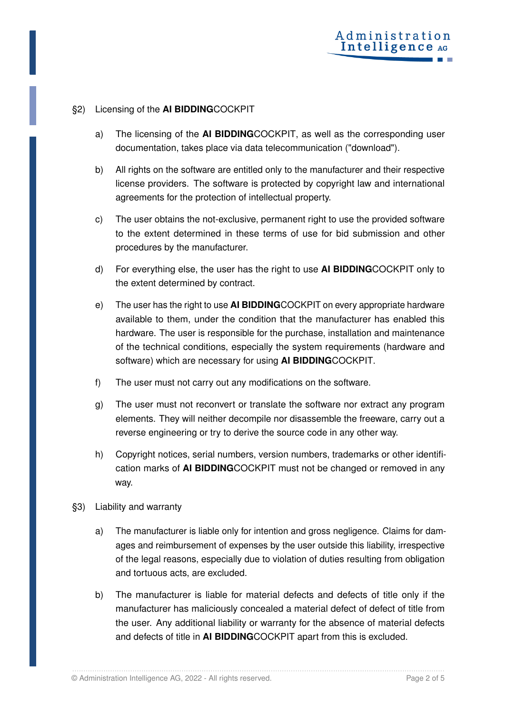## §2) Licensing of the **AI BIDDING**COCKPIT

- a) The licensing of the **AI BIDDING**COCKPIT, as well as the corresponding user documentation, takes place via data telecommunication ("download").
- b) All rights on the software are entitled only to the manufacturer and their respective license providers. The software is protected by copyright law and international agreements for the protection of intellectual property.
- c) The user obtains the not-exclusive, permanent right to use the provided software to the extent determined in these terms of use for bid submission and other procedures by the manufacturer.
- d) For everything else, the user has the right to use **AI BIDDING**COCKPIT only to the extent determined by contract.
- e) The user has the right to use **AI BIDDING**COCKPIT on every appropriate hardware available to them, under the condition that the manufacturer has enabled this hardware. The user is responsible for the purchase, installation and maintenance of the technical conditions, especially the system requirements (hardware and software) which are necessary for using **AI BIDDING**COCKPIT.
- f) The user must not carry out any modifications on the software.
- g) The user must not reconvert or translate the software nor extract any program elements. They will neither decompile nor disassemble the freeware, carry out a reverse engineering or try to derive the source code in any other way.
- h) Copyright notices, serial numbers, version numbers, trademarks or other identification marks of **AI BIDDING**COCKPIT must not be changed or removed in any way.
- §3) Liability and warranty
	- a) The manufacturer is liable only for intention and gross negligence. Claims for damages and reimbursement of expenses by the user outside this liability, irrespective of the legal reasons, especially due to violation of duties resulting from obligation and tortuous acts, are excluded.
	- b) The manufacturer is liable for material defects and defects of title only if the manufacturer has maliciously concealed a material defect of defect of title from the user. Any additional liability or warranty for the absence of material defects and defects of title in **AI BIDDING**COCKPIT apart from this is excluded.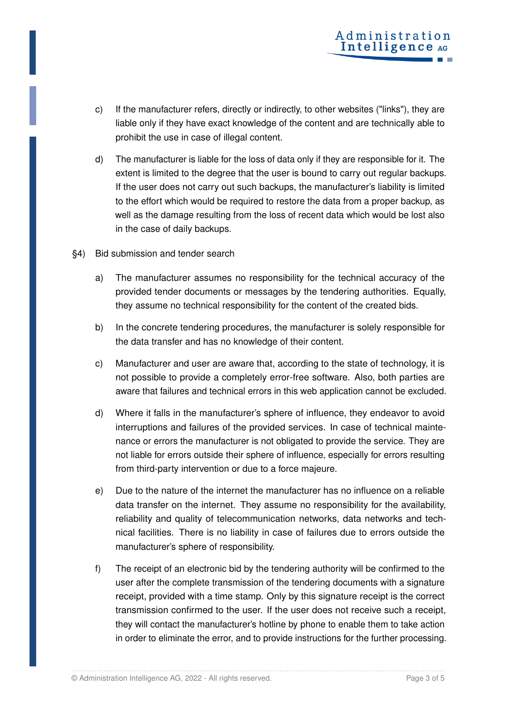- c) If the manufacturer refers, directly or indirectly, to other websites ("links"), they are liable only if they have exact knowledge of the content and are technically able to prohibit the use in case of illegal content.
- d) The manufacturer is liable for the loss of data only if they are responsible for it. The extent is limited to the degree that the user is bound to carry out regular backups. If the user does not carry out such backups, the manufacturer's liability is limited to the effort which would be required to restore the data from a proper backup, as well as the damage resulting from the loss of recent data which would be lost also in the case of daily backups.
- §4) Bid submission and tender search
	- a) The manufacturer assumes no responsibility for the technical accuracy of the provided tender documents or messages by the tendering authorities. Equally, they assume no technical responsibility for the content of the created bids.
	- b) In the concrete tendering procedures, the manufacturer is solely responsible for the data transfer and has no knowledge of their content.
	- c) Manufacturer and user are aware that, according to the state of technology, it is not possible to provide a completely error-free software. Also, both parties are aware that failures and technical errors in this web application cannot be excluded.
	- d) Where it falls in the manufacturer's sphere of influence, they endeavor to avoid interruptions and failures of the provided services. In case of technical maintenance or errors the manufacturer is not obligated to provide the service. They are not liable for errors outside their sphere of influence, especially for errors resulting from third-party intervention or due to a force majeure.
	- e) Due to the nature of the internet the manufacturer has no influence on a reliable data transfer on the internet. They assume no responsibility for the availability, reliability and quality of telecommunication networks, data networks and technical facilities. There is no liability in case of failures due to errors outside the manufacturer's sphere of responsibility.
	- f) The receipt of an electronic bid by the tendering authority will be confirmed to the user after the complete transmission of the tendering documents with a signature receipt, provided with a time stamp. Only by this signature receipt is the correct transmission confirmed to the user. If the user does not receive such a receipt, they will contact the manufacturer's hotline by phone to enable them to take action in order to eliminate the error, and to provide instructions for the further processing.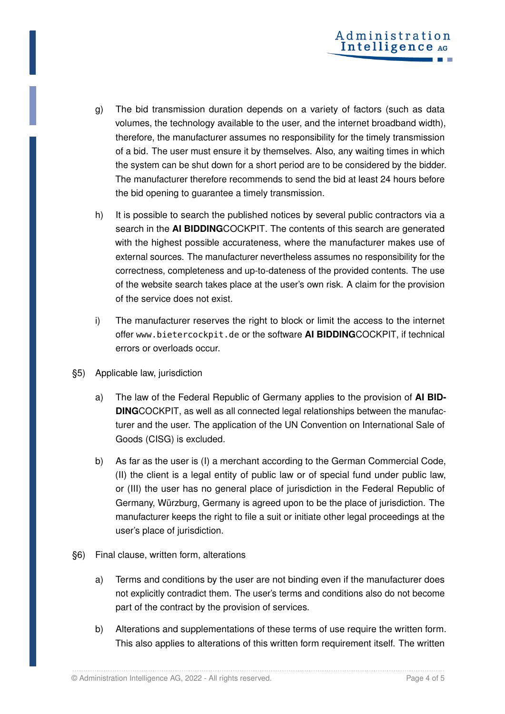- g) The bid transmission duration depends on a variety of factors (such as data volumes, the technology available to the user, and the internet broadband width), therefore, the manufacturer assumes no responsibility for the timely transmission of a bid. The user must ensure it by themselves. Also, any waiting times in which the system can be shut down for a short period are to be considered by the bidder. The manufacturer therefore recommends to send the bid at least 24 hours before the bid opening to guarantee a timely transmission.
- h) It is possible to search the published notices by several public contractors via a search in the **AI BIDDING**COCKPIT. The contents of this search are generated with the highest possible accurateness, where the manufacturer makes use of external sources. The manufacturer nevertheless assumes no responsibility for the correctness, completeness and up-to-dateness of the provided contents. The use of the website search takes place at the user's own risk. A claim for the provision of the service does not exist.
- i) The manufacturer reserves the right to block or limit the access to the internet offer <www.bietercockpit.de> or the software **AI BIDDING**COCKPIT, if technical errors or overloads occur.
- §5) Applicable law, jurisdiction
	- a) The law of the Federal Republic of Germany applies to the provision of **AI BID-DING**COCKPIT, as well as all connected legal relationships between the manufacturer and the user. The application of the UN Convention on International Sale of Goods (CISG) is excluded.
	- b) As far as the user is (I) a merchant according to the German Commercial Code, (II) the client is a legal entity of public law or of special fund under public law, or (III) the user has no general place of jurisdiction in the Federal Republic of Germany, Würzburg, Germany is agreed upon to be the place of jurisdiction. The manufacturer keeps the right to file a suit or initiate other legal proceedings at the user's place of jurisdiction.
- §6) Final clause, written form, alterations
	- a) Terms and conditions by the user are not binding even if the manufacturer does not explicitly contradict them. The user's terms and conditions also do not become part of the contract by the provision of services.
	- b) Alterations and supplementations of these terms of use require the written form. This also applies to alterations of this written form requirement itself. The written